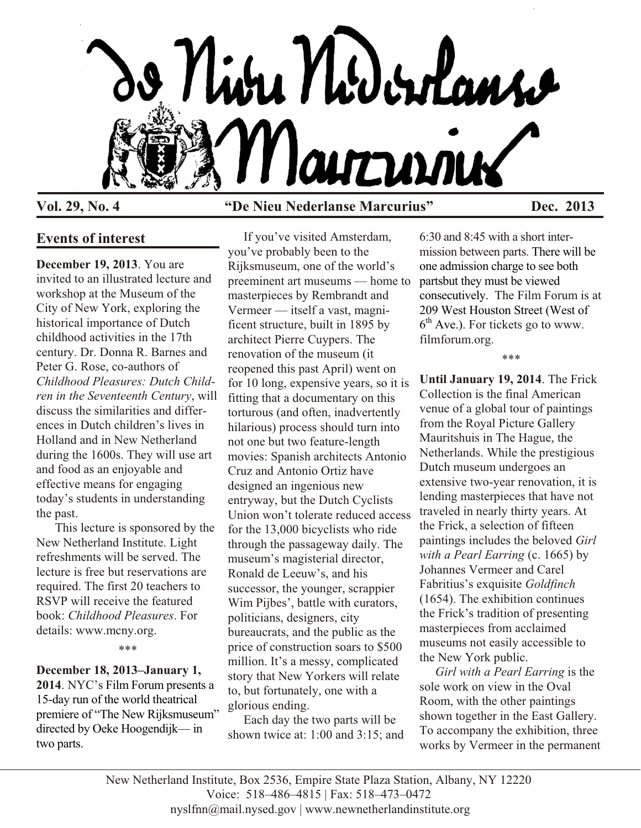

## **Vol. 29, No. 4 "De Nieu Nederlanse Marcurius" Dec. 2013**

## **Events of interest**

**December 19, 2013**. You are invited to an illustrated lecture and workshop at the Museum of the City of New York, exploring the historical importance of Dutch childhood activities in the 17th century. Dr. Donna R. Barnes and Peter G. Rose, co-authors of *Childhood Pleasures: Dutch Children in the Seventeenth Century*, will discuss the similarities and differences in Dutch children's lives in Holland and in New Netherland during the 1600s. They will use art and food as an enjoyable and effective means for engaging today's students in understanding the past.

 This lecture is sponsored by the New Netherland Institute. Light refreshments will be served. The lecture is free but reservations are required. The first 20 teachers to RSVP will receive the featured book: *Childhood Pleasures*. For details: www.mcny.org.

\*\*\*

# **December 18, 2013–January 1,**

**2014**. NYC's Film Forum presents a 15-day run of the world theatrical premiere of "The New Rijksmuseum" directed by Oeke Hoogendijk— in two parts.

 If you've visited Amsterdam, you've probably been to the Rijksmuseum, one of the world's preeminent art museums — home to masterpieces by Rembrandt and Vermeer — itself a vast, magnificent structure, built in 1895 by architect Pierre Cuypers. The renovation of the museum (it reopened this past April) went on for 10 long, expensive years, so it is fitting that a documentary on this torturous (and often, inadvertently hilarious) process should turn into not one but two feature-length movies: Spanish architects Antonio Cruz and Antonio Ortiz have designed an ingenious new entryway, but the Dutch Cyclists Union won't tolerate reduced access for the 13,000 bicyclists who ride through the passageway daily. The museum's magisterial director, Ronald de Leeuw's, and his successor, the younger, scrappier Wim Pijbes', battle with curators, politicians, designers, city bureaucrats, and the public as the price of construction soars to \$500 million. It's a messy, complicated story that New Yorkers will relate to, but fortunately, one with a glorious ending.

 Each day the two parts will be shown twice at: 1:00 and 3:15; and

6:30 and 8:45 with a short intermission between parts. There will be one admission charge to see both partsbut they must be viewed consecutively. The Film Forum is at 209 West Houston Street (West of  $6<sup>th</sup>$  Ave.). For tickets go to www. filmforum.org.

\*\*\*

**Until January 19, 2014**. The Frick Collection is the final American venue of a global tour of paintings from the Royal Picture Gallery Mauritshuis in The Hague, the Netherlands. While the prestigious Dutch museum undergoes an extensive two-year renovation, it is lending masterpieces that have not traveled in nearly thirty years. At the Frick, a selection of fifteen paintings includes the beloved *Girl with a Pearl Earring* (c. 1665) by Johannes Vermeer and Carel Fabritius's exquisite *Goldfinch* (1654). The exhibition continues the Frick's tradition of presenting masterpieces from acclaimed museums not easily accessible to the New York public.

 *Girl with a Pearl Earring* is the sole work on view in the Oval Room, with the other paintings shown together in the East Gallery. To accompany the exhibition, three works by Vermeer in the permanent

New Netherland Institute, Box 2536, Empire State Plaza Station, Albany, NY 12220 Voice: 518–486–4815 | Fax: 518–473–0472 nyslfnn@mail.nysed.gov | www.newnetherlandinstitute.org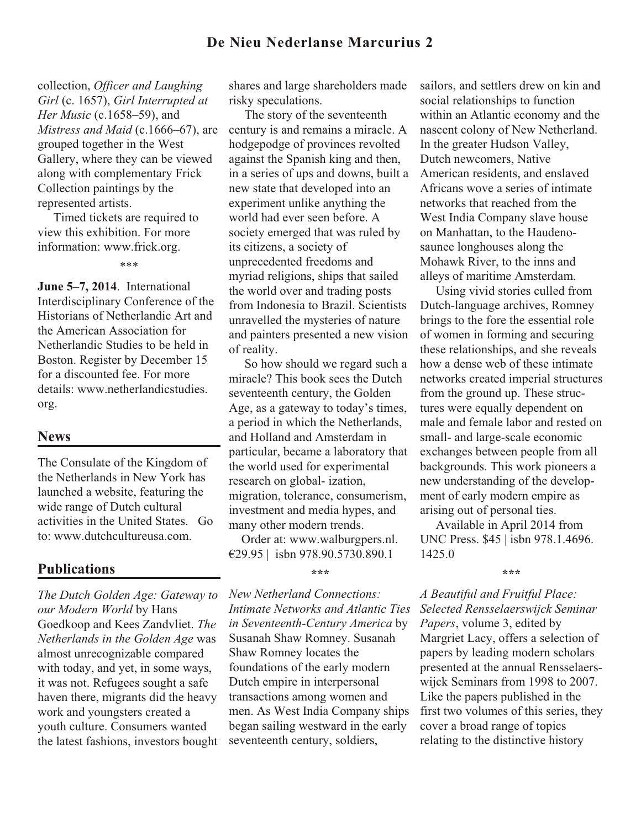## **De Nieu Nederlanse Marcurius 2**

collection, *Officer and Laughing Girl* (c. 1657), *Girl Interrupted at Her Music* (c.1658–59), and *Mistress and Maid* (c.1666–67), are grouped together in the West Gallery, where they can be viewed along with complementary Frick Collection paintings by the represented artists.

 Timed tickets are required to view this exhibition. For more information: www.frick.org.

\*\*\*

**June 5–7, 2014**. International Interdisciplinary Conference of the Historians of Netherlandic Art and the American Association for Netherlandic Studies to be held in Boston. Register by December 15 for a discounted fee. For more details: www.netherlandicstudies. org.

### **News**

The Consulate of the Kingdom of the Netherlands in New York has launched a website, featuring the wide range of Dutch cultural activities in the United States. Go to: www.dutchcultureusa.com.

### **Publications**

*The Dutch Golden Age: Gateway to our Modern World* by Hans Goedkoop and Kees Zandvliet. *The Netherlands in the Golden Age* was almost unrecognizable compared with today, and yet, in some ways, it was not. Refugees sought a safe haven there, migrants did the heavy work and youngsters created a youth culture. Consumers wanted the latest fashions, investors bought shares and large shareholders made risky speculations.

 The story of the seventeenth century is and remains a miracle. A hodgepodge of provinces revolted against the Spanish king and then, in a series of ups and downs, built a new state that developed into an experiment unlike anything the world had ever seen before. A society emerged that was ruled by its citizens, a society of unprecedented freedoms and myriad religions, ships that sailed the world over and trading posts from Indonesia to Brazil. Scientists unravelled the mysteries of nature and painters presented a new vision of reality.

 So how should we regard such a miracle? This book sees the Dutch seventeenth century, the Golden Age, as a gateway to today's times, a period in which the Netherlands, and Holland and Amsterdam in particular, became a laboratory that the world used for experimental research on global- ization, migration, tolerance, consumerism, investment and media hypes, and many other modern trends.

 Order at: www.walburgpers.nl. €29.95 | isbn 978.90.5730.890.1

**\*\*\***

*New Netherland Connections: Intimate Networks and Atlantic Ties in Seventeenth-Century America* by Susanah Shaw Romney. Susanah Shaw Romney locates the foundations of the early modern Dutch empire in interpersonal transactions among women and men. As West India Company ships began sailing westward in the early seventeenth century, soldiers,

sailors, and settlers drew on kin and social relationships to function within an Atlantic economy and the nascent colony of New Netherland. In the greater Hudson Valley, Dutch newcomers, Native American residents, and enslaved Africans wove a series of intimate networks that reached from the West India Company slave house on Manhattan, to the Haudenosaunee longhouses along the Mohawk River, to the inns and alleys of maritime Amsterdam.

 Using vivid stories culled from Dutch-language archives, Romney brings to the fore the essential role of women in forming and securing these relationships, and she reveals how a dense web of these intimate networks created imperial structures from the ground up. These structures were equally dependent on male and female labor and rested on small- and large-scale economic exchanges between people from all backgrounds. This work pioneers a new understanding of the development of early modern empire as arising out of personal ties.

 Available in April 2014 from UNC Press. \$45 | isbn 978.1.4696. 1425.0

#### **\*\*\***

*A Beautiful and Fruitful Place: Selected Rensselaerswijck Seminar Papers*, volume 3, edited by Margriet Lacy, offers a selection of papers by leading modern scholars presented at the annual Rensselaerswijck Seminars from 1998 to 2007. Like the papers published in the first two volumes of this series, they cover a broad range of topics relating to the distinctive history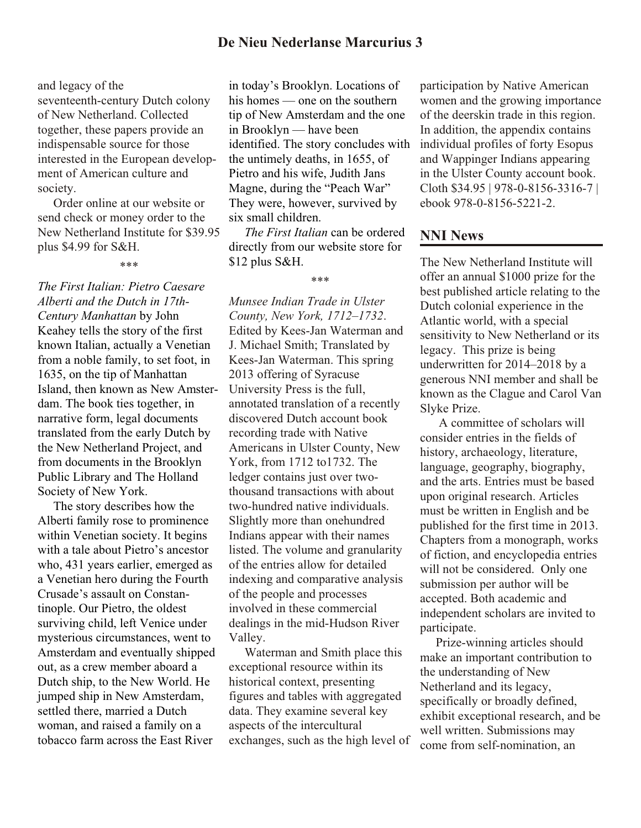and legacy of the seventeenth-century Dutch colony of New Netherland. Collected together, these papers provide an indispensable source for those interested in the European development of American culture and society.

 Order online at our website or send check or money order to the New Netherland Institute for \$39.95 plus \$4.99 for S&H.

*The First Italian: Pietro Caesare Alberti and the Dutch in 17th-Century Manhattan* by John Keahey tells the story of the first known Italian, actually a Venetian from a noble family, to set foot, in 1635, on the tip of Manhattan Island, then known as New Amsterdam. The book ties together, in narrative form, legal documents translated from the early Dutch by the New Netherland Project, and from documents in the Brooklyn Public Library and The Holland Society of New York.

 The story describes how the Alberti family rose to prominence within Venetian society. It begins with a tale about Pietro's ancestor who, 431 years earlier, emerged as a Venetian hero during the Fourth Crusade's assault on Constantinople. Our Pietro, the oldest surviving child, left Venice under mysterious circumstances, went to Amsterdam and eventually shipped out, as a crew member aboard a Dutch ship, to the New World. He jumped ship in New Amsterdam, settled there, married a Dutch woman, and raised a family on a tobacco farm across the East River

in today's Brooklyn. Locations of his homes — one on the southern tip of New Amsterdam and the one in Brooklyn — have been identified. The story concludes with the untimely deaths, in 1655, of Pietro and his wife, Judith Jans Magne, during the "Peach War" They were, however, survived by six small children.

 *The First Italian* can be ordered directly from our website store for \$12 plus S&H.

\*\*\*

*Munsee Indian Trade in Ulster County, New York, 1712–1732*. Edited by Kees-Jan Waterman and J. Michael Smith; Translated by Kees-Jan Waterman. This spring 2013 offering of Syracuse University Press is the full, annotated translation of a recently discovered Dutch account book recording trade with Native Americans in Ulster County, New York, from 1712 to1732. The ledger contains just over twothousand transactions with about two-hundred native individuals. Slightly more than onehundred Indians appear with their names listed. The volume and granularity of the entries allow for detailed indexing and comparative analysis of the people and processes involved in these commercial dealings in the mid-Hudson River Valley.

 Waterman and Smith place this exceptional resource within its historical context, presenting figures and tables with aggregated data. They examine several key aspects of the intercultural exchanges, such as the high level of

participation by Native American women and the growing importance of the deerskin trade in this region. In addition, the appendix contains individual profiles of forty Esopus and Wappinger Indians appearing in the Ulster County account book. Cloth \$34.95 | 978-0-8156-3316-7 | ebook 978-0-8156-5221-2.

### **NNI News**

The New Netherland Institute will offer an annual \$1000 prize for the best published article relating to the Dutch colonial experience in the Atlantic world, with a special sensitivity to New Netherland or its legacy. This prize is being underwritten for 2014–2018 by a generous NNI member and shall be known as the Clague and Carol Van Slyke Prize.

 A committee of scholars will consider entries in the fields of history, archaeology, literature, language, geography, biography, and the arts. Entries must be based upon original research. Articles must be written in English and be published for the first time in 2013. Chapters from a monograph, works of fiction, and encyclopedia entries will not be considered. Only one submission per author will be accepted. Both academic and independent scholars are invited to participate.

 Prize-winning articles should make an important contribution to the understanding of New Netherland and its legacy, specifically or broadly defined, exhibit exceptional research, and be well written. Submissions may come from self-nomination, an

<sup>\*\*\*</sup>